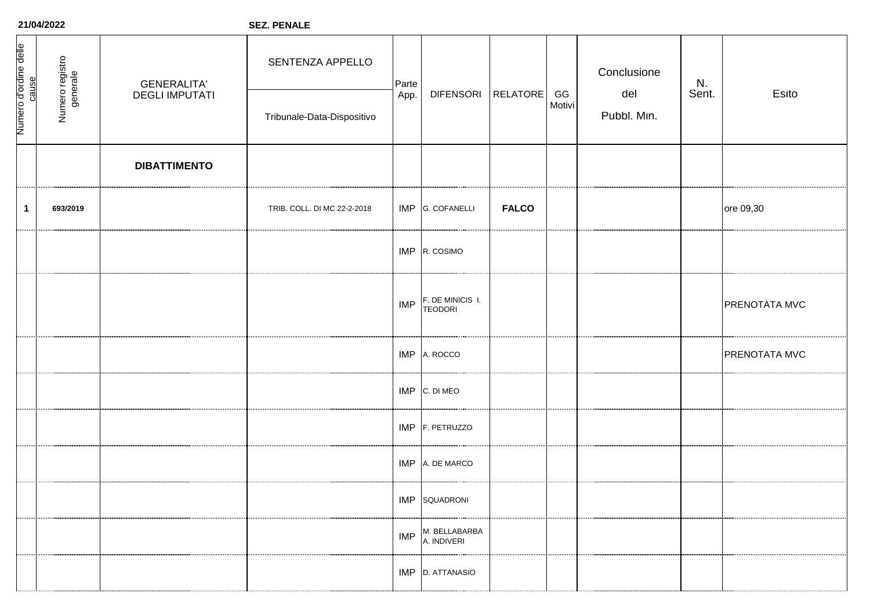| Numero d'ordine delle<br>cause | Numero registro<br>generale | <b>GENERALITA'</b><br><b>DEGLI IMPUTATI</b> | SENTENZA APPELLO<br>Tribunale-Data-Dispositivo | Parte<br>App. | <b>DIFENSORI</b>                   | <b>RELATORE</b> | GG<br>Motivi | Conclusione<br>del<br>Pubbl. Min. | N.<br>Sent. | Esito         |
|--------------------------------|-----------------------------|---------------------------------------------|------------------------------------------------|---------------|------------------------------------|-----------------|--------------|-----------------------------------|-------------|---------------|
|                                |                             | <b>DIBATTIMENTO</b>                         |                                                |               |                                    |                 |              |                                   |             |               |
| $\mathbf{1}$                   | 693/2019                    |                                             | TRIB. COLL. DI MC 22-2-2018                    |               | IMP G. COFANELLI                   | <b>FALCO</b>    |              |                                   |             | ore 09,30     |
|                                |                             |                                             |                                                |               | IMP R. COSIMO                      |                 |              |                                   |             |               |
|                                |                             |                                             |                                                | <b>IMP</b>    | F. DE MINICIS I.<br><b>TEODORI</b> |                 |              |                                   |             | PRENOTATA MVC |
|                                |                             |                                             |                                                |               | IMP A. ROCCO                       |                 |              |                                   |             | PRENOTATA MVC |
|                                |                             |                                             |                                                |               | IMP C. DI MEO                      |                 |              |                                   |             |               |
|                                |                             |                                             |                                                |               | IMP F. PETRUZZO                    |                 |              |                                   |             |               |
|                                |                             |                                             |                                                | IMP           | A. DE MARCO                        |                 |              |                                   |             |               |
|                                |                             |                                             |                                                |               | IMP SQUADRONI                      |                 |              |                                   |             |               |
|                                |                             |                                             |                                                | <b>IMP</b>    | M. BELLABARBA<br>A. INDIVERI       |                 |              |                                   |             |               |
|                                |                             |                                             |                                                |               | IMP D. ATTANASIO                   |                 |              |                                   |             |               |

**SEZ. PENALE**

**21/04/2022**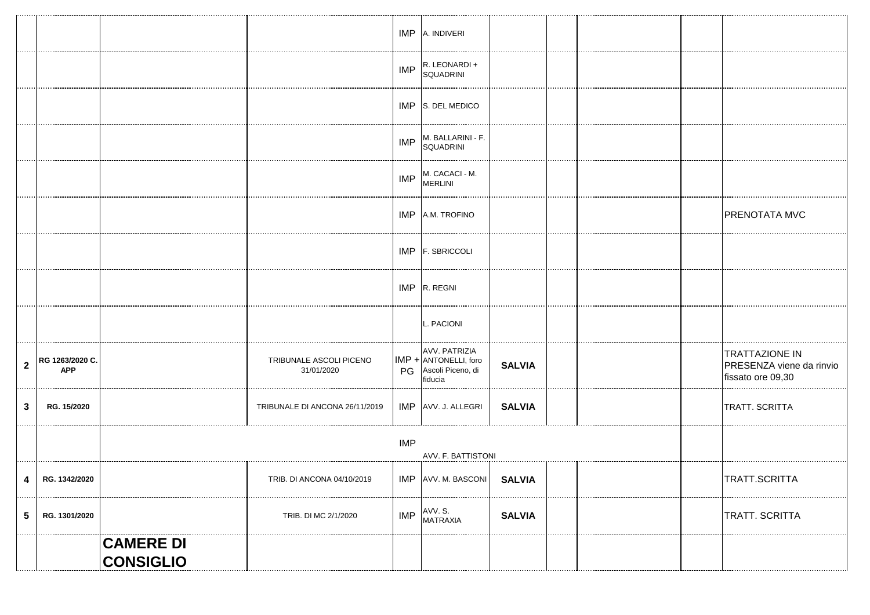|                |                               |                                      |                                       |            | IMP A. INDIVERI                                                        |               |  |  |  |                                                                        |
|----------------|-------------------------------|--------------------------------------|---------------------------------------|------------|------------------------------------------------------------------------|---------------|--|--|--|------------------------------------------------------------------------|
|                |                               |                                      |                                       | IMP        | R. LEONARDI +<br>SQUADRINI                                             |               |  |  |  |                                                                        |
|                |                               |                                      |                                       |            | IMP S. DEL MEDICO                                                      |               |  |  |  |                                                                        |
|                |                               |                                      |                                       | <b>IMP</b> | M. BALLARINI - F.<br><b>SQUADRINI</b>                                  |               |  |  |  |                                                                        |
|                |                               |                                      |                                       | <b>IMP</b> | M. CACACI - M.<br><b>MERLINI</b>                                       |               |  |  |  |                                                                        |
|                |                               |                                      |                                       | <b>IMP</b> | A.M. TROFINO                                                           |               |  |  |  | PRENOTATA MVC                                                          |
|                |                               |                                      |                                       |            | IMP F. SBRICCOLI                                                       |               |  |  |  |                                                                        |
|                |                               |                                      |                                       |            | $IMP$ R. REGNI                                                         |               |  |  |  |                                                                        |
|                |                               |                                      |                                       |            | L. PACIONI                                                             |               |  |  |  |                                                                        |
| $\mathbf{2}$   | RG 1263/2020 C.<br><b>APP</b> |                                      | TRIBUNALE ASCOLI PICENO<br>31/01/2020 | PG         | AVV. PATRIZIA<br>IMP + ANTONELLI, foro<br>Ascoli Piceno, di<br>fiducia | <b>SALVIA</b> |  |  |  | <b>TRATTAZIONE IN</b><br>PRESENZA viene da rinvio<br>fissato ore 09,30 |
| 3              | RG. 15/2020                   |                                      | TRIBUNALE DI ANCONA 26/11/2019        |            | IMP AVV. J. ALLEGRI                                                    | <b>SALVIA</b> |  |  |  | TRATT. SCRITTA                                                         |
|                |                               | <b>IMP</b><br>AVV. F. BATTISTONI     |                                       |            |                                                                        |               |  |  |  |                                                                        |
| 4              | RG. 1342/2020                 |                                      | TRIB. DI ANCONA 04/10/2019            |            | IMP AVV. M. BASCONI SALVIA                                             |               |  |  |  | TRATT.SCRITTA                                                          |
| 5 <sup>5</sup> | RG. 1301/2020                 |                                      | TRIB. DI MC 2/1/2020                  | <b>IMP</b> | AVV. S.<br>MATRAXIA                                                    | <b>SALVIA</b> |  |  |  | TRATT. SCRITTA                                                         |
|                |                               | <b>CAMERE DI</b><br><b>CONSIGLIO</b> |                                       |            |                                                                        |               |  |  |  |                                                                        |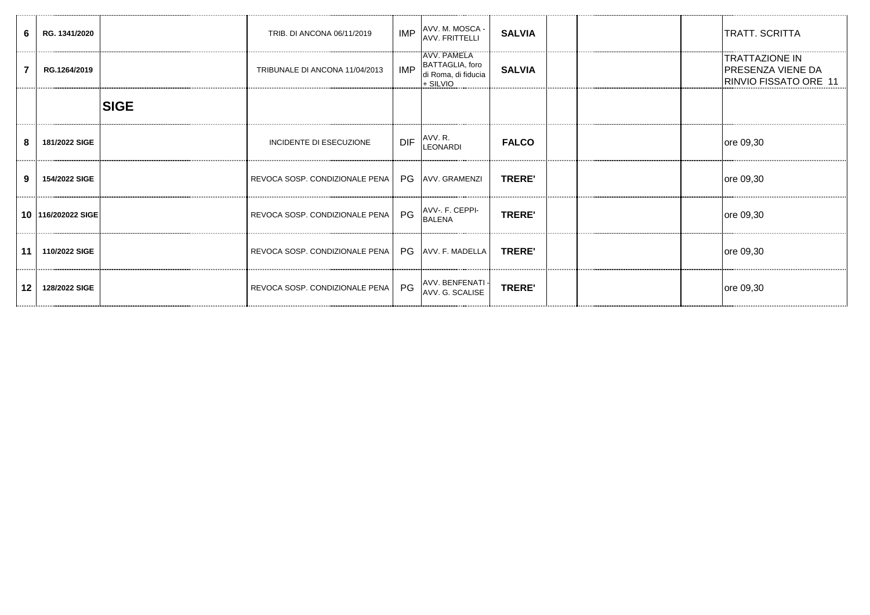| 6               | RG. 1341/2020      |             | TRIB. DI ANCONA 06/11/2019     | <b>IMP</b> | AVV. M. MOSCA -<br>AVV. FRITTELLI                                         | <b>SALVIA</b> |  | <b>TRATT. SCRITTA</b>                                               |
|-----------------|--------------------|-------------|--------------------------------|------------|---------------------------------------------------------------------------|---------------|--|---------------------------------------------------------------------|
|                 | RG.1264/2019       |             | TRIBUNALE DI ANCONA 11/04/2013 | <b>IMP</b> | <b>TAVV. PAMELA</b><br>BATTAGLIA, foro<br>di Roma, di fiducia<br>+ SILVIO | <b>SALVIA</b> |  | <b>TRATTAZIONE IN</b><br>PRESENZA VIENE DA<br>RINVIO FISSATO ORE 11 |
|                 |                    | <b>SIGE</b> |                                |            |                                                                           |               |  |                                                                     |
| 8               | 181/2022 SIGE      |             | <b>INCIDENTE DI ESECUZIONE</b> | <b>DIF</b> | AVV. R.<br>LEONARDI                                                       | <b>FALCO</b>  |  | ore 09,30                                                           |
| 9               | 154/2022 SIGE      |             | REVOCA SOSP. CONDIZIONALE PENA |            | PG AVV. GRAMENZI                                                          | <b>TRERE'</b> |  | ore 09,30                                                           |
|                 | 10 116/202022 SIGE |             | REVOCA SOSP. CONDIZIONALE PENA | PG         | AVV-. F. CEPPI-<br><b>BALENA</b>                                          | <b>TRERE'</b> |  | ore 09,30                                                           |
| 11              | 110/2022 SIGE      |             | REVOCA SOSP. CONDIZIONALE PENA |            | <b>PG</b> AVV. F. MADELLA                                                 | <b>TRERE'</b> |  | ore 09,30                                                           |
| 12 <sup>°</sup> | 128/2022 SIGE      |             | REVOCA SOSP. CONDIZIONALE PENA | PG         | AVV. BENFENATI -<br>AVV. G. SCALISE                                       | <b>TRERE'</b> |  | ore 09,30                                                           |